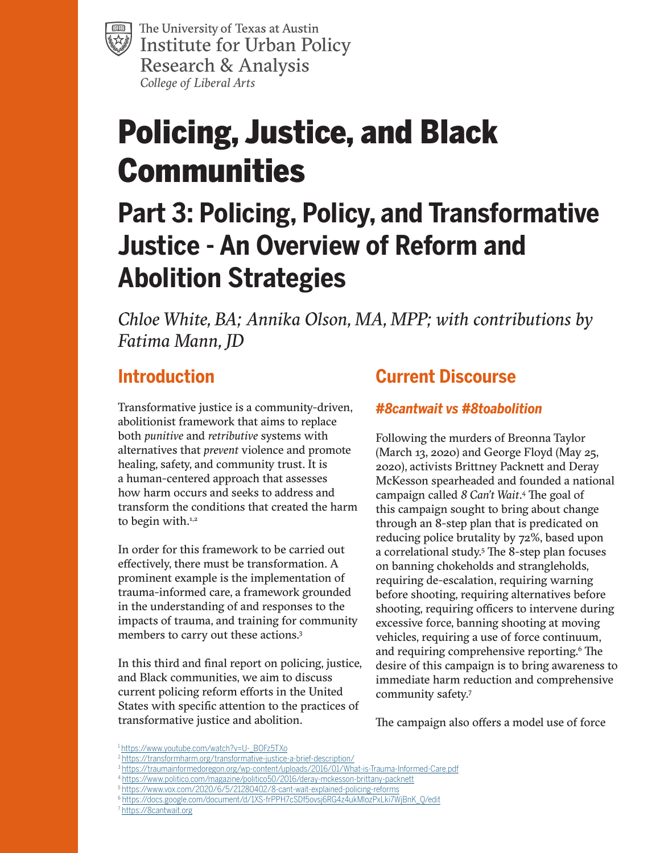The University of Texas at Austin **Institute for Urban Policy** Research & Analysis *College of Liberal Arts*

# Policing, Justice, and Black **Communities**

## **Part 3: Policing, Policy, and Transformative Justice - An Overview of Reform and Abolition Strategies**

*Chloe White, BA; Annika Olson, MA, MPP; with contributions by Fatima Mann, JD*

## **Introduction**

Transformative justice is a community-driven, abolitionist framework that aims to replace both *punitive* and *retributive* systems with alternatives that *prevent* violence and promote healing, safety, and community trust. It is a human-centered approach that assesses how harm occurs and seeks to address and transform the conditions that created the harm to begin with.<sup>1,2</sup>

In order for this framework to be carried out effectively, there must be transformation. A prominent example is the implementation of trauma-informed care, a framework grounded in the understanding of and responses to the impacts of trauma, and training for community members to carry out these actions.3

In this third and final report on policing, justice, and Black communities, we aim to discuss current policing reform efforts in the United States with specific attention to the practices of transformative justice and abolition.

## **Current Discourse**

#### *#8cantwait vs #8toabolition*

Following the murders of Breonna Taylor (March 13, 2020) and George Floyd (May 25, 2020), activists Brittney Packnett and Deray McKesson spearheaded and founded a national campaign called *8 Can't Wait*. 4 The goal of this campaign sought to bring about change through an 8-step plan that is predicated on reducing police brutality by 72%, based upon a correlational study.5 The 8-step plan focuses on banning chokeholds and strangleholds, requiring de-escalation, requiring warning before shooting, requiring alternatives before shooting, requiring officers to intervene during excessive force, banning shooting at moving vehicles, requiring a use of force continuum, and requiring comprehensive reporting.<sup>6</sup> The desire of this campaign is to bring awareness to immediate harm reduction and comprehensive community safety.7

The campaign also offers a model use of force

<sup>1</sup> [https://www.youtube.com/watch?v=U-\\_BOFz5TXo](https://www.youtube.com/watch?v=U-_BOFz5TXo)

<sup>&</sup>lt;sup>2</sup> <https://transformharm.org/transformative-justice-a-brief-description/>

<sup>3</sup> <https://traumainformedoregon.org/wp-content/uploads/2016/01/What-is-Trauma-Informed-Care.pdf>

<sup>4</sup> <https://www.politico.com/magazine/politico50/2016/deray-mckesson-brittany-packnett>

<sup>5</sup> <https://www.vox.com/2020/6/5/21280402/8-cant-wait-explained-policing-reforms>

<sup>6</sup> [https://docs.google.com/document/d/1XS-frPPH7cSDf5ovsj6RG4z4ukMlozPxLki7WjBnK\\_Q/edit](https://docs.google.com/document/d/1XS-frPPH7cSDf5ovsj6RG4z4ukMlozPxLki7WjBnK_Q/edit)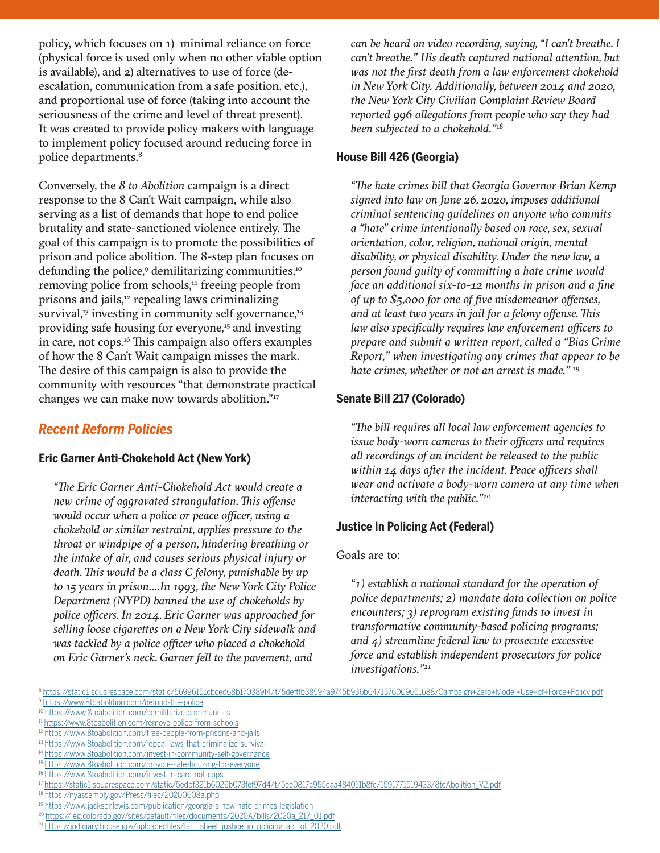policy, which focuses on 1) minimal reliance on force (physical force is used only when no other viable option is available), and 2) alternatives to use of force (deescalation, communication from a safe position, etc.), and proportional use of force (taking into account the seriousness of the crime and level of threat present). It was created to provide policy makers with language to implement policy focused around reducing force in police departments.<sup>8</sup>

Conversely, the *8 to Abolition* campaign is a direct response to the 8 Can't Wait campaign, while also serving as a list of demands that hope to end police brutality and state-sanctioned violence entirely. The goal of this campaign is to promote the possibilities of prison and police abolition. The 8-step plan focuses on defunding the police, $^{\rm o}$  demilitarizing communities, $^{\rm no}$ removing police from schools,<sup>11</sup> freeing people from prisons and jails,<sup>12</sup> repealing laws criminalizing survival, $33$  investing in community self governance, $34$ providing safe housing for everyone,<sup>15</sup> and investing in care, not cops.<sup>16</sup> This campaign also offers examples of how the 8 Can't Wait campaign misses the mark. The desire of this campaign is also to provide the community with resources "that demonstrate practical changes we can make now towards abolition."17

#### *Recent Reform Policies*

#### **Eric Garner Anti-Chokehold Act (New York)**

*"The Eric Garner Anti-Chokehold Act would create a new crime of aggravated strangulation. This offense would occur when a police or peace officer, using a chokehold or similar restraint, applies pressure to the throat or windpipe of a person, hindering breathing or the intake of air, and causes serious physical injury or death. This would be a class C felony, punishable by up to 15 years in prison….In 1993, the New York City Police Department (NYPD) banned the use of chokeholds by police officers. In 2014, Eric Garner was approached for selling loose cigarettes on a New York City sidewalk and was tackled by a police officer who placed a chokehold on Eric Garner's neck. Garner fell to the pavement, and* 

*can be heard on video recording, saying, "I can't breathe. I can't breathe." His death captured national attention, but was not the first death from a law enforcement chokehold in New York City. Additionally, between 2014 and 2020, the New York City Civilian Complaint Review Board reported 996 allegations from people who say they had been subjected to a chokehold."*<sup>18</sup>

#### **House Bill 426 (Georgia)**

*"The hate crimes bill that Georgia Governor Brian Kemp signed into law on June 26, 2020, imposes additional criminal sentencing guidelines on anyone who commits a "hate" crime intentionally based on race, sex, sexual orientation, color, religion, national origin, mental disability, or physical disability. Under the new law, a person found guilty of committing a hate crime would face an additional six-to-12 months in prison and a fine of up to \$5,000 for one of five misdemeanor offenses, and at least two years in jail for a felony offense. This law also specifically requires law enforcement officers to prepare and submit a written report, called a "Bias Crime Report," when investigating any crimes that appear to be hate crimes, whether or not an arrest is made."* <sup>19</sup>

#### **Senate Bill 217 (Colorado)**

*"The bill requires all local law enforcement agencies to issue body-worn cameras to their officers and requires all recordings of an incident be released to the public within 14 days after the incident. Peace officers shall wear and activate a body-worn camera at any time when interacting with the public."*<sup>20</sup>

#### **Justice In Policing Act (Federal)**

#### Goals are to:

*"1) establish a national standard for the operation of police departments; 2) mandate data collection on police encounters; 3) reprogram existing funds to invest in transformative community-based policing programs; and 4) streamline federal law to prosecute excessive force and establish independent prosecutors for police investigations."21*

<sup>14</sup> <https://www.8toabolition.com/invest-in-community-self-governance>

<sup>16</sup> <https://www.8toabolition.com/invest-in-care-not-cops>

18 <https://nyassembly.gov/Press/files/20200608a.php>

<sup>20</sup> [https://leg.colorado.gov/sites/default/files/documents/2020A/bills/2020a\\_217\\_01.pdf](https://leg.colorado.gov/sites/default/files/documents/2020A/bills/2020a_217_01.pdf )

<sup>9</sup> <https://www.8toabolition.com/defund-the-police>

<sup>10</sup> <https://www.8toabolition.com/demilitarize-communities>

<sup>&</sup>lt;sup>11</sup> <https://www.8toabolition.com/remove-police-from-schools>

<sup>&</sup>lt;sup>12</sup> <https://www.8toabolition.com/free-people-from-prisons-and-jails>

<sup>13</sup> <https://www.8toabolition.com/repeal-laws-that-criminalize-survival>

<sup>15</sup> <https://www.8toabolition.com/provide-safe-housing-for-everyone>

<sup>17</sup> [https://static1.squarespace.com/static/5edbf321b6026b073fef97d4/t/5ee0817c955eaa484011b8fe/1591771519433/8toAbolition\\_V2.pdf](https://static1.squarespace.com/static/5edbf321b6026b073fef97d4/t/5ee0817c955eaa484011b8fe/1591771519433/8toAbolition_V2.pdf)

<sup>&</sup>lt;sup>19</sup> <https://www.jacksonlewis.com/publication/georgia-s-new-hate-crimes-legislation>

<sup>&</sup>lt;sup>21</sup> [https://judiciary.house.gov/uploadedfiles/fact\\_sheet\\_justice\\_in\\_policing\\_act\\_of\\_2020.pdf](https://judiciary.house.gov/uploadedfiles/fact_sheet_justice_in_policing_act_of_2020.pdf)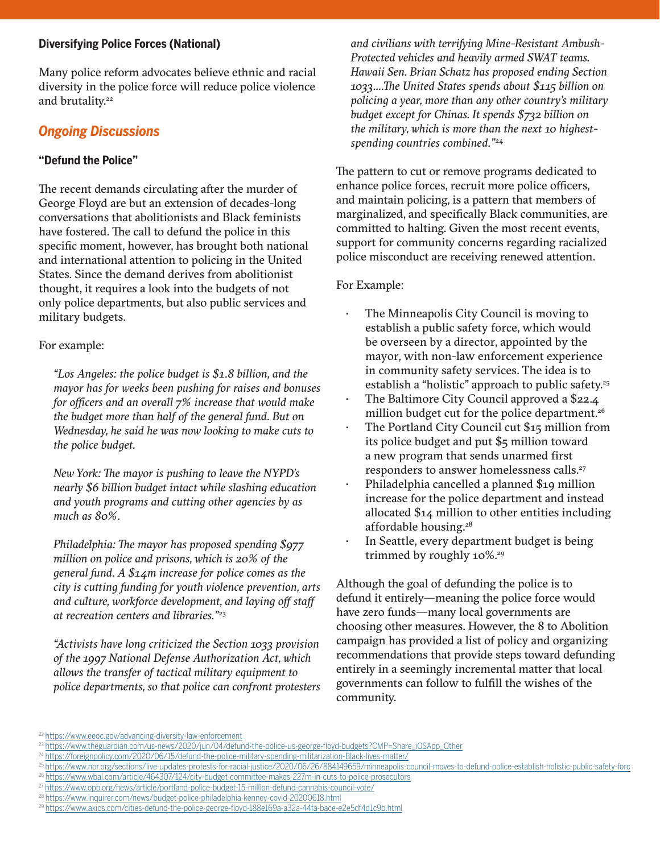#### **Diversifying Police Forces (National)**

Many police reform advocates believe ethnic and racial diversity in the police force will reduce police violence and brutality.<sup>22</sup>

#### *Ongoing Discussions*

#### **"Defund the Police"**

The recent demands circulating after the murder of George Floyd are but an extension of decades-long conversations that abolitionists and Black feminists have fostered. The call to defund the police in this specific moment, however, has brought both national and international attention to policing in the United States. Since the demand derives from abolitionist thought, it requires a look into the budgets of not only police departments, but also public services and military budgets.

#### For example:

*"Los Angeles: the police budget is \$1.8 billion, and the mayor has for weeks been pushing for raises and bonuses for officers and an overall 7% increase that would make the budget more than half of the general fund. But on Wednesday, he said he was now looking to make cuts to the police budget.* 

*New York: The mayor is pushing to leave the NYPD's nearly \$6 billion budget intact while slashing education and youth programs and cutting other agencies by as much as 80%.*

*Philadelphia: The mayor has proposed spending \$977 million on police and prisons, which is 20% of the general fund. A \$14m increase for police comes as the city is cutting funding for youth violence prevention, arts and culture, workforce development, and laying off staff at recreation centers and libraries."*<sup>23</sup>

*"Activists have long criticized the Section 1033 provision of the 1997 National Defense Authorization Act, which allows the transfer of tactical military equipment to police departments, so that police can confront protesters* 

*and civilians with terrifying Mine-Resistant Ambush-Protected vehicles and heavily armed SWAT teams. Hawaii Sen. Brian Schatz has proposed ending Section 1033….The United States spends about \$115 billion on policing a year, more than any other country's military budget except for Chinas. It spends \$732 billion on the military, which is more than the next 10 highestspending countries combined."*<sup>24</sup>

The pattern to cut or remove programs dedicated to enhance police forces, recruit more police officers, and maintain policing, is a pattern that members of marginalized, and specifically Black communities, are committed to halting. Given the most recent events, support for community concerns regarding racialized police misconduct are receiving renewed attention.

#### For Example:

- The Minneapolis City Council is moving to establish a public safety force, which would be overseen by a director, appointed by the mayor, with non-law enforcement experience in community safety services. The idea is to establish a "holistic" approach to public safety.<sup>25</sup>
- The Baltimore City Council approved a \$22.4 million budget cut for the police department.<sup>26</sup>
- The Portland City Council cut \$15 million from its police budget and put \$5 million toward a new program that sends unarmed first responders to answer homelessness calls.<sup>27</sup>
- Philadelphia cancelled a planned \$19 million increase for the police department and instead allocated \$14 million to other entities including affordable housing.28
- In Seattle, every department budget is being trimmed by roughly 10%.<sup>29</sup>

Although the goal of defunding the police is to defund it entirely—meaning the police force would have zero funds—many local governments are choosing other measures. However, the 8 to Abolition campaign has provided a list of policy and organizing recommendations that provide steps toward defunding entirely in a seemingly incremental matter that local governments can follow to fulfill the wishes of the community.

<sup>22</sup> <https://www.eeoc.gov/advancing-diversity-law-enforcement>

<sup>23</sup> [https://www.theguardian.com/us-news/2020/jun/04/defund-the-police-us-george-floyd-budgets?CMP=Share\\_iOSApp\\_Other](https://www.theguardian.com/us-news/2020/jun/04/defund-the-police-us-george-floyd-budgets?CMP=Share_iOSApp_Other)

<sup>24</sup> <https://foreignpolicy.com/2020/06/15/defund-the-police-military-spending-militarization-Black-lives-matter/>

<sup>25</sup> <https://www.npr.org/sections/live-updates-protests-for-racial-justice/2020/06/26/884149659/minneapolis-council-moves-to-defund-police-establish-holistic-public-safety-forc> <sup>26</sup> <https://www.wbal.com/article/464307/124/city-budget-committee-makes-227m-in-cuts-to-police-prosecutors>

<sup>27</sup> <https://www.opb.org/news/article/portland-police-budget-15-million-defund-cannabis-council-vote/>

<sup>28</sup> <https://www.inquirer.com/news/budget-police-philadelphia-kenney-covid-20200618.html>

<sup>29</sup> <https://www.axios.com/cities-defund-the-police-george-floyd-188e169a-a32a-44fa-bace-e2e5df4d1c9b.html>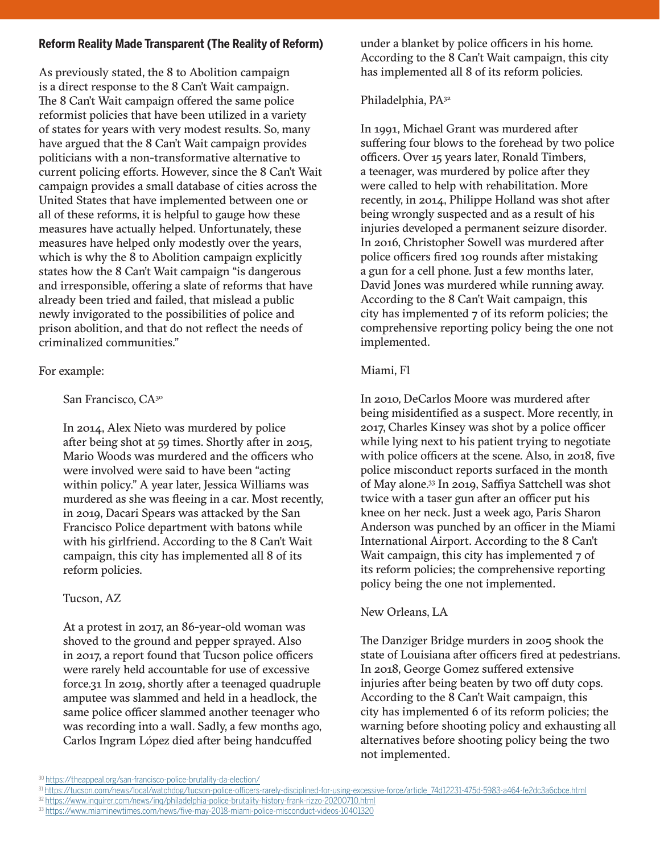#### **Reform Reality Made Transparent (The Reality of Reform)**

As previously stated, the 8 to Abolition campaign is a direct response to the 8 Can't Wait campaign. The 8 Can't Wait campaign offered the same police reformist policies that have been utilized in a variety of states for years with very modest results. So, many have argued that the 8 Can't Wait campaign provides politicians with a non-transformative alternative to current policing efforts. However, since the 8 Can't Wait campaign provides a small database of cities across the United States that have implemented between one or all of these reforms, it is helpful to gauge how these measures have actually helped. Unfortunately, these measures have helped only modestly over the years, which is why the 8 to Abolition campaign explicitly states how the 8 Can't Wait campaign "is dangerous and irresponsible, offering a slate of reforms that have already been tried and failed, that mislead a public newly invigorated to the possibilities of police and prison abolition, and that do not reflect the needs of criminalized communities."

#### For example:

San Francisco, CA<sup>30</sup>

In 2014, Alex Nieto was murdered by police after being shot at 59 times. Shortly after in 2015, Mario Woods was murdered and the officers who were involved were said to have been "acting within policy." A year later, Jessica Williams was murdered as she was fleeing in a car. Most recently, in 2019, Dacari Spears was attacked by the San Francisco Police department with batons while with his girlfriend. According to the 8 Can't Wait campaign, this city has implemented all 8 of its reform policies.

#### Tucson, AZ

At a protest in 2017, an 86-year-old woman was shoved to the ground and pepper sprayed. Also in 2017, a report found that Tucson police officers were rarely held accountable for use of excessive force.31 In 2019, shortly after a teenaged quadruple amputee was slammed and held in a headlock, the same police officer slammed another teenager who was recording into a wall. Sadly, a few months ago, Carlos Ingram López died after being handcuffed

under a blanket by police officers in his home. According to the 8 Can't Wait campaign, this city has implemented all 8 of its reform policies.

#### Philadelphia, PA<sup>32</sup>

In 1991, Michael Grant was murdered after suffering four blows to the forehead by two police officers. Over 15 years later, Ronald Timbers, a teenager, was murdered by police after they were called to help with rehabilitation. More recently, in 2014, Philippe Holland was shot after being wrongly suspected and as a result of his injuries developed a permanent seizure disorder. In 2016, Christopher Sowell was murdered after police officers fired 109 rounds after mistaking a gun for a cell phone. Just a few months later, David Jones was murdered while running away. According to the 8 Can't Wait campaign, this city has implemented 7 of its reform policies; the comprehensive reporting policy being the one not implemented.

#### Miami, Fl

In 2010, DeCarlos Moore was murdered after being misidentified as a suspect. More recently, in 2017, Charles Kinsey was shot by a police officer while lying next to his patient trying to negotiate with police officers at the scene. Also, in 2018, five police misconduct reports surfaced in the month of May alone.33 In 2019, Saffiya Sattchell was shot twice with a taser gun after an officer put his knee on her neck. Just a week ago, Paris Sharon Anderson was punched by an officer in the Miami International Airport. According to the 8 Can't Wait campaign, this city has implemented 7 of its reform policies; the comprehensive reporting policy being the one not implemented.

#### New Orleans, LA

The Danziger Bridge murders in 2005 shook the state of Louisiana after officers fired at pedestrians. In 2018, George Gomez suffered extensive injuries after being beaten by two off duty cops. According to the 8 Can't Wait campaign, this city has implemented 6 of its reform policies; the warning before shooting policy and exhausting all alternatives before shooting policy being the two not implemented.

<sup>30</sup> <https://theappeal.org/san-francisco-police-brutality-da-election/>

<sup>31</sup> [https://tucson.com/news/local/watchdog/tucson-police-officers-rarely-disciplined-for-using-excessive-force/article\\_74d12231-475d-5983-a464-fe2dc3a6cbce.html](https://tucson.com/news/local/watchdog/tucson-police-officers-rarely-disciplined-for-using-excessive-force/article_74d12231-475d-5983-a464-fe2dc3a6cbce.html)

<sup>&</sup>lt;sup>32</sup> <https://www.inquirer.com/news/inq/philadelphia-police-brutality-history-frank-rizzo-20200710.html>

<sup>33</sup> <https://www.miaminewtimes.com/news/five-may-2018-miami-police-misconduct-videos-10401320>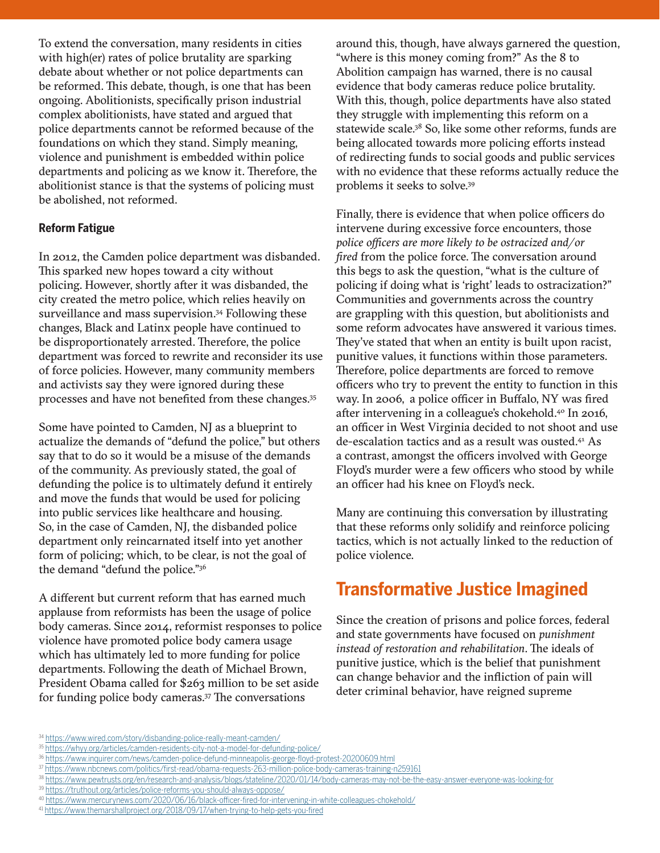To extend the conversation, many residents in cities with high(er) rates of police brutality are sparking debate about whether or not police departments can be reformed. This debate, though, is one that has been ongoing. Abolitionists, specifically prison industrial complex abolitionists, have stated and argued that police departments cannot be reformed because of the foundations on which they stand. Simply meaning, violence and punishment is embedded within police departments and policing as we know it. Therefore, the abolitionist stance is that the systems of policing must be abolished, not reformed.

#### **Reform Fatigue**

In 2012, the Camden police department was disbanded. This sparked new hopes toward a city without policing. However, shortly after it was disbanded, the city created the metro police, which relies heavily on surveillance and mass supervision.<sup>34</sup> Following these changes, Black and Latinx people have continued to be disproportionately arrested. Therefore, the police department was forced to rewrite and reconsider its use of force policies. However, many community members and activists say they were ignored during these processes and have not benefited from these changes.35

Some have pointed to Camden, NJ as a blueprint to actualize the demands of "defund the police," but others say that to do so it would be a misuse of the demands of the community. As previously stated, the goal of defunding the police is to ultimately defund it entirely and move the funds that would be used for policing into public services like healthcare and housing. So, in the case of Camden, NJ, the disbanded police department only reincarnated itself into yet another form of policing; which, to be clear, is not the goal of the demand "defund the police."36

A different but current reform that has earned much applause from reformists has been the usage of police body cameras. Since 2014, reformist responses to police violence have promoted police body camera usage which has ultimately led to more funding for police departments. Following the death of Michael Brown, President Obama called for \$263 million to be set aside for funding police body cameras.37 The conversations

around this, though, have always garnered the question, "where is this money coming from?" As the 8 to Abolition campaign has warned, there is no causal evidence that body cameras reduce police brutality. With this, though, police departments have also stated they struggle with implementing this reform on a statewide scale.<sup>38</sup> So, like some other reforms, funds are being allocated towards more policing efforts instead of redirecting funds to social goods and public services with no evidence that these reforms actually reduce the problems it seeks to solve.39

Finally, there is evidence that when police officers do intervene during excessive force encounters, those *police officers are more likely to be ostracized and/or fired* from the police force. The conversation around this begs to ask the question, "what is the culture of policing if doing what is 'right' leads to ostracization?" Communities and governments across the country are grappling with this question, but abolitionists and some reform advocates have answered it various times. They've stated that when an entity is built upon racist, punitive values, it functions within those parameters. Therefore, police departments are forced to remove officers who try to prevent the entity to function in this way. In 2006, a police officer in Buffalo, NY was fired after intervening in a colleague's chokehold.<sup>40</sup> In 2016, an officer in West Virginia decided to not shoot and use de-escalation tactics and as a result was ousted.41 As a contrast, amongst the officers involved with George Floyd's murder were a few officers who stood by while an officer had his knee on Floyd's neck.

Many are continuing this conversation by illustrating that these reforms only solidify and reinforce policing tactics, which is not actually linked to the reduction of police violence.

### **Transformative Justice Imagined**

Since the creation of prisons and police forces, federal and state governments have focused on *punishment instead of restoration and rehabilitation*. The ideals of punitive justice, which is the belief that punishment can change behavior and the infliction of pain will deter criminal behavior, have reigned supreme

<sup>36</sup> <https://www.inquirer.com/news/camden-police-defund-minneapolis-george-floyd-protest-20200609.html>

- 39 <https://truthout.org/articles/police-reforms-you-should-always-oppose/>
- <sup>40</sup> <https://www.mercurynews.com/2020/06/16/black-officer-fired-for-intervening-in-white-colleagues-chokehold/>
- <sup>41</sup> <https://www.themarshallproject.org/2018/09/17/when-trying-to-help-gets-you-fired>

<sup>34</sup> <https://www.wired.com/story/disbanding-police-really-meant-camden/>

<sup>35</sup> <https://whyy.org/articles/camden-residents-city-not-a-model-for-defunding-police/>

<sup>37</sup> <https://www.nbcnews.com/politics/first-read/obama-requests-263-million-police-body-cameras-training-n259161>

<sup>38</sup> <https://www.pewtrusts.org/en/research-and-analysis/blogs/stateline/2020/01/14/body-cameras-may-not-be-the-easy-answer-everyone-was-looking-for>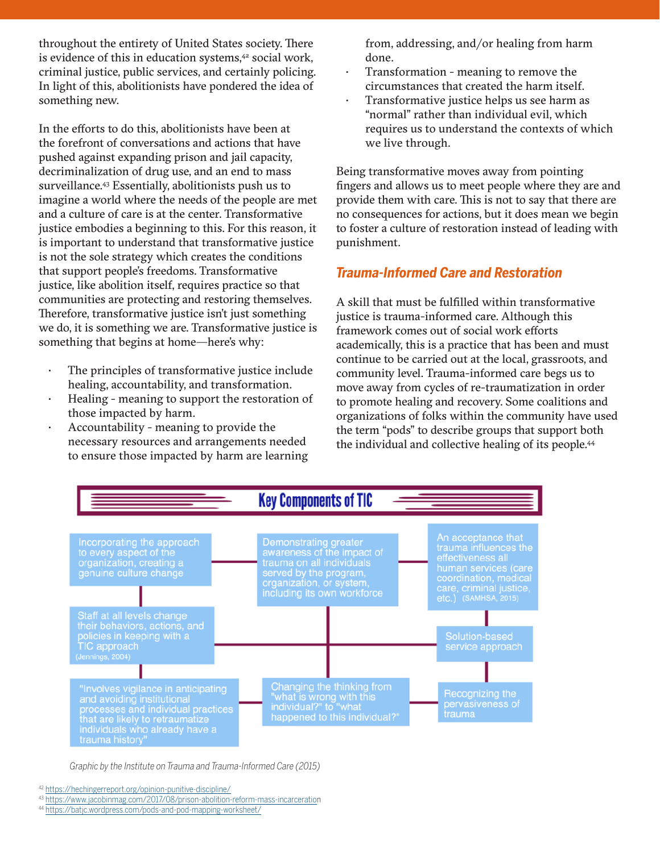throughout the entirety of United States society. There is evidence of this in education systems,<sup>42</sup> social work, criminal justice, public services, and certainly policing. In light of this, abolitionists have pondered the idea of something new.

In the efforts to do this, abolitionists have been at the forefront of conversations and actions that have pushed against expanding prison and jail capacity, decriminalization of drug use, and an end to mass surveillance.<sup>43</sup> Essentially, abolitionists push us to imagine a world where the needs of the people are met and a culture of care is at the center. Transformative justice embodies a beginning to this. For this reason, it is important to understand that transformative justice is not the sole strategy which creates the conditions that support people's freedoms. Transformative justice, like abolition itself, requires practice so that communities are protecting and restoring themselves. Therefore, transformative justice isn't just something we do, it is something we are. Transformative justice is something that begins at home—here's why:

- The principles of transformative justice include healing, accountability, and transformation.
- Healing meaning to support the restoration of those impacted by harm.
- Accountability meaning to provide the necessary resources and arrangements needed to ensure those impacted by harm are learning

from, addressing, and/or healing from harm done.

- Transformation meaning to remove the circumstances that created the harm itself.
- Transformative justice helps us see harm as "normal" rather than individual evil, which requires us to understand the contexts of which we live through.

Being transformative moves away from pointing fingers and allows us to meet people where they are and provide them with care. This is not to say that there are no consequences for actions, but it does mean we begin to foster a culture of restoration instead of leading with punishment.

#### *Trauma-Informed Care and Restoration*

A skill that must be fulfilled within transformative justice is trauma-informed care. Although this framework comes out of social work efforts academically, this is a practice that has been and must continue to be carried out at the local, grassroots, and community level. Trauma-informed care begs us to move away from cycles of re-traumatization in order to promote healing and recovery. Some coalitions and organizations of folks within the community have used the term "pods" to describe groups that support both the individual and collective healing of its people.<sup>44</sup>



*Graphic by the Institute on Trauma and Trauma-Informed Care (2015)*

<sup>42</sup> <https://hechingerreport.org/opinion-punitive-discipline/>

<sup>43</sup> [https://www.jacobinmag.com/2017/08/prison-abolition-reform-mass-incarceration](https://www.jacobinmag.com/2017/08/prison-abolition-reform-mass-incarceratio)

<sup>44</sup> <https://batjc.wordpress.com/pods-and-pod-mapping-worksheet/>